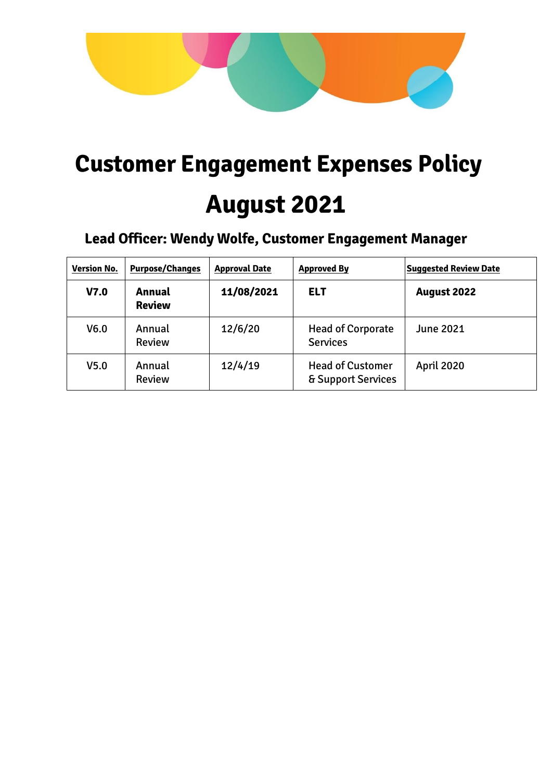

# **Customer Engagement Expenses Policy August 2021**

# **Lead Officer: Wendy Wolfe, Customer Engagement Manager**

| <b>Version No.</b> | <b>Purpose/Changes</b>  | <b>Approval Date</b> | <b>Approved By</b>                            | <b>Suggested Review Date</b> |
|--------------------|-------------------------|----------------------|-----------------------------------------------|------------------------------|
| V <sub>7.0</sub>   | Annual<br><b>Review</b> | 11/08/2021           | <b>ELT</b>                                    | <b>August 2022</b>           |
| V <sub>6.0</sub>   | Annual<br><b>Review</b> | 12/6/20              | <b>Head of Corporate</b><br><b>Services</b>   | <b>June 2021</b>             |
| V <sub>5.0</sub>   | Annual<br><b>Review</b> | 12/4/19              | <b>Head of Customer</b><br>& Support Services | <b>April 2020</b>            |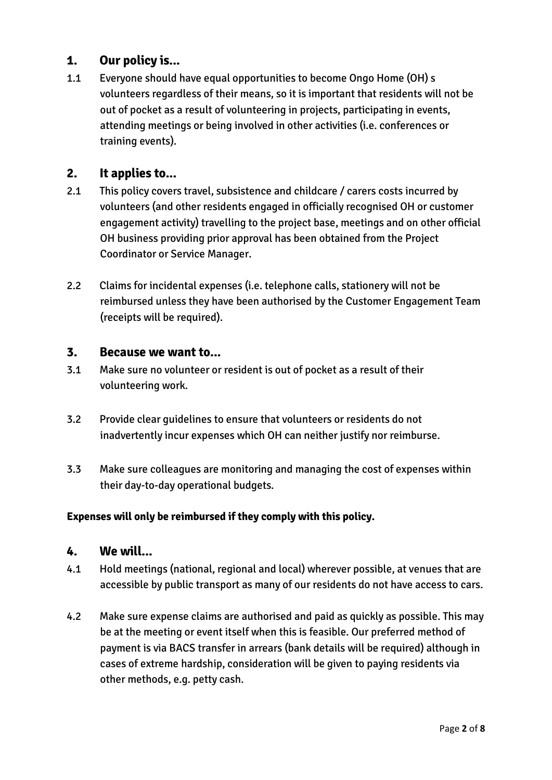## **1. Our policy is...**

1.1 Everyone should have equal opportunities to become Ongo Home (OH) s volunteers regardless of their means, so it is important that residents will not be out of pocket as a result of volunteering in projects, participating in events, attending meetings or being involved in other activities (i.e. conferences or training events).

## **2. It applies to...**

- 2.1 This policy covers travel, subsistence and childcare / carers costs incurred by volunteers (and other residents engaged in officially recognised OH or customer engagement activity) travelling to the project base, meetings and on other official OH business providing prior approval has been obtained from the Project Coordinator or Service Manager.
- 2.2 Claims for incidental expenses (i.e. telephone calls, stationery will not be reimbursed unless they have been authorised by the Customer Engagement Team (receipts will be required).

#### **3. Because we want to...**

- 3.1 Make sure no volunteer or resident is out of pocket as a result of their volunteering work.
- 3.2 Provide clear guidelines to ensure that volunteers or residents do not inadvertently incur expenses which OH can neither justify nor reimburse.
- 3.3 Make sure colleagues are monitoring and managing the cost of expenses within their day-to-day operational budgets.

#### **Expenses will only be reimbursed if they comply with this policy.**

#### **4. We will...**

- 4.1 Hold meetings (national, regional and local) wherever possible, at venues that are accessible by public transport as many of our residents do not have access to cars.
- 4.2 Make sure expense claims are authorised and paid as quickly as possible. This may be at the meeting or event itself when this is feasible. Our preferred method of payment is via BACS transfer in arrears (bank details will be required) although in cases of extreme hardship, consideration will be given to paying residents via other methods, e.g. petty cash.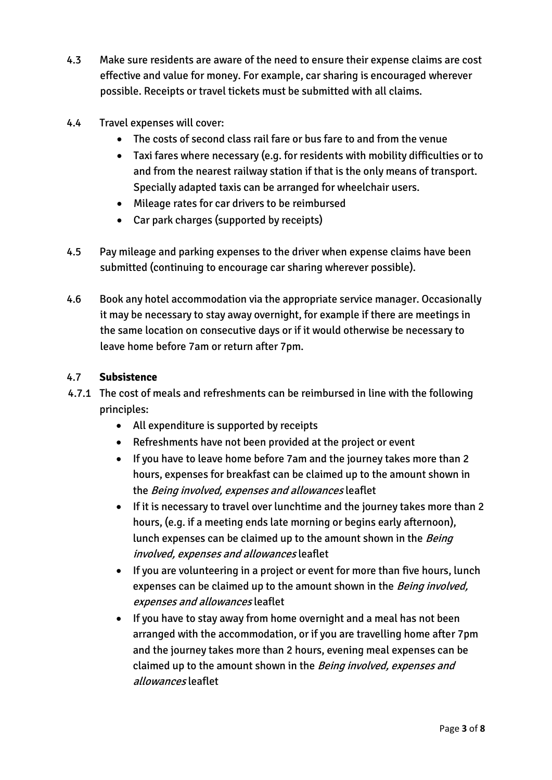- 4.3 Make sure residents are aware of the need to ensure their expense claims are cost effective and value for money. For example, car sharing is encouraged wherever possible. Receipts or travel tickets must be submitted with all claims.
- 4.4 Travel expenses will cover:
	- The costs of second class rail fare or bus fare to and from the venue
	- Taxi fares where necessary (e.g. for residents with mobility difficulties or to and from the nearest railway station if that is the only means of transport. Specially adapted taxis can be arranged for wheelchair users.
	- Mileage rates for car drivers to be reimbursed
	- Car park charges (supported by receipts)
- 4.5 Pay mileage and parking expenses to the driver when expense claims have been submitted (continuing to encourage car sharing wherever possible).
- 4.6 Book any hotel accommodation via the appropriate service manager. Occasionally it may be necessary to stay away overnight, for example if there are meetings in the same location on consecutive days or if it would otherwise be necessary to leave home before 7am or return after 7pm.

#### 4.7 **Subsistence**

- 4.7.1 The cost of meals and refreshments can be reimbursed in line with the following principles:
	- All expenditure is supported by receipts
	- Refreshments have not been provided at the project or event
	- If you have to leave home before 7am and the journey takes more than 2 hours, expenses for breakfast can be claimed up to the amount shown in the Being involved, expenses and allowances leaflet
	- If it is necessary to travel over lunchtime and the journey takes more than 2 hours, (e.g. if a meeting ends late morning or begins early afternoon), lunch expenses can be claimed up to the amount shown in the *Being* involved, expenses and allowances leaflet
	- If you are volunteering in a project or event for more than five hours, lunch expenses can be claimed up to the amount shown in the Being involved, expenses and allowances leaflet
	- If you have to stay away from home overnight and a meal has not been arranged with the accommodation, or if you are travelling home after 7pm and the journey takes more than 2 hours, evening meal expenses can be claimed up to the amount shown in the Being involved, expenses and allowances leaflet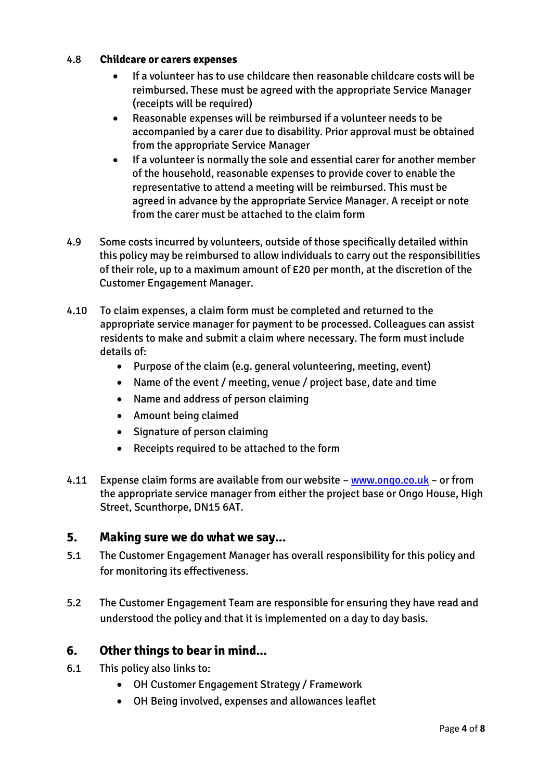#### 4.8 **Childcare or carers expenses**

- If a volunteer has to use childcare then reasonable childcare costs will be reimbursed. These must be agreed with the appropriate Service Manager (receipts will be required)
- Reasonable expenses will be reimbursed if a volunteer needs to be accompanied by a carer due to disability. Prior approval must be obtained from the appropriate Service Manager
- If a volunteer is normally the sole and essential carer for another member of the household, reasonable expenses to provide cover to enable the representative to attend a meeting will be reimbursed. This must be agreed in advance by the appropriate Service Manager. A receipt or note from the carer must be attached to the claim form
- 4.9 Some costs incurred by volunteers, outside of those specifically detailed within this policy may be reimbursed to allow individuals to carry out the responsibilities of their role, up to a maximum amount of £20 per month, at the discretion of the Customer Engagement Manager.
- 4.10 To claim expenses, a claim form must be completed and returned to the appropriate service manager for payment to be processed. Colleagues can assist residents to make and submit a claim where necessary. The form must include details of:
	- Purpose of the claim (e.g. general volunteering, meeting, event)
	- Name of the event / meeting, venue / project base, date and time
	- Name and address of person claiming
	- Amount being claimed
	- Signature of person claiming
	- Receipts required to be attached to the form
- 4.11 Expense claim forms are available from our website [www.ongo.co.uk](http://www.ongo.co.uk/) or from the appropriate service manager from either the project base or Ongo House, High Street, Scunthorpe, DN15 6AT.

#### **5. Making sure we do what we say...**

- 5.1 The Customer Engagement Manager has overall responsibility for this policy and for monitoring its effectiveness.
- 5.2 The Customer Engagement Team are responsible for ensuring they have read and understood the policy and that it is implemented on a day to day basis.

## **6. Other things to bear in mind...**

- 6.1 This policy also links to:
	- OH Customer Engagement Strategy / Framework
	- OH Being involved, expenses and allowances leaflet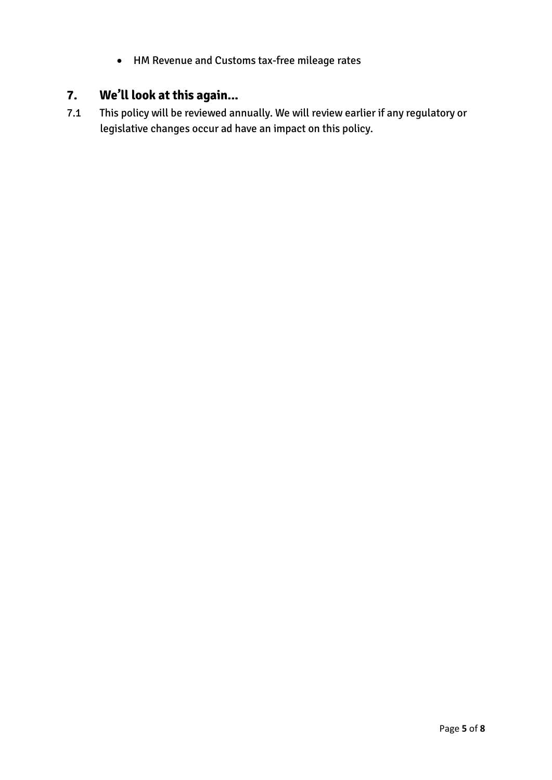HM Revenue and Customs tax-free mileage rates

# **7. We'll look at this again...**

7.1 This policy will be reviewed annually. We will review earlier if any regulatory or legislative changes occur ad have an impact on this policy.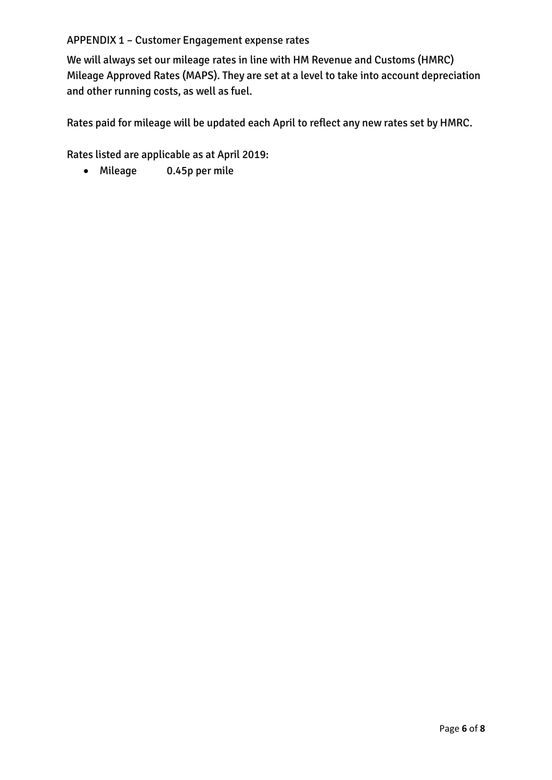#### APPENDIX 1 – Customer Engagement expense rates

We will always set our mileage rates in line with HM Revenue and Customs (HMRC) Mileage Approved Rates (MAPS). They are set at a level to take into account depreciation and other running costs, as well as fuel.

Rates paid for mileage will be updated each April to reflect any new rates set by HMRC.

Rates listed are applicable as at April 2019:

Mileage 0.45p per mile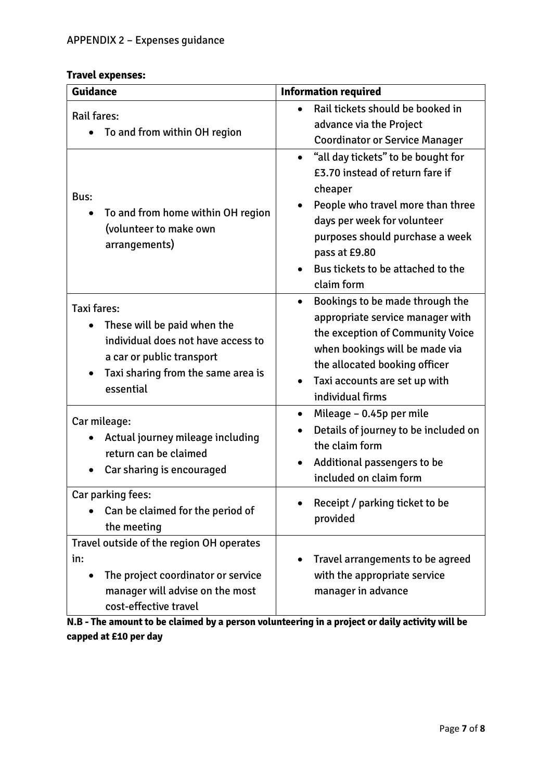#### **Travel expenses:**

| <b>Guidance</b>                                                                                                                                                         | <b>Information required</b>                                                                                                                                                                                                                                              |  |
|-------------------------------------------------------------------------------------------------------------------------------------------------------------------------|--------------------------------------------------------------------------------------------------------------------------------------------------------------------------------------------------------------------------------------------------------------------------|--|
| <b>Rail fares:</b><br>To and from within OH region                                                                                                                      | Rail tickets should be booked in<br>advance via the Project<br><b>Coordinator or Service Manager</b>                                                                                                                                                                     |  |
| Bus:<br>To and from home within OH region<br>$\bullet$<br>(volunteer to make own<br>arrangements)                                                                       | "all day tickets" to be bought for<br>$\bullet$<br>£3.70 instead of return fare if<br>cheaper<br>People who travel more than three<br>days per week for volunteer<br>purposes should purchase a week<br>pass at £9.80<br>Bus tickets to be attached to the<br>claim form |  |
| <b>Taxi fares:</b><br>These will be paid when the<br>individual does not have access to<br>a car or public transport<br>Taxi sharing from the same area is<br>essential | Bookings to be made through the<br>appropriate service manager with<br>the exception of Community Voice<br>when bookings will be made via<br>the allocated booking officer<br>Taxi accounts are set up with<br>individual firms                                          |  |
| Car mileage:<br>Actual journey mileage including<br>return can be claimed<br>Car sharing is encouraged                                                                  | Mileage - 0.45p per mile<br>$\bullet$<br>Details of journey to be included on<br>the claim form<br>Additional passengers to be<br>included on claim form                                                                                                                 |  |
| Car parking fees:<br>Can be claimed for the period of<br>the meeting                                                                                                    | Receipt / parking ticket to be<br>provided                                                                                                                                                                                                                               |  |
| Travel outside of the region OH operates<br>in:<br>The project coordinator or service<br>manager will advise on the most<br>cost-effective travel                       | Travel arrangements to be agreed<br>with the appropriate service<br>manager in advance                                                                                                                                                                                   |  |

**N.B - The amount to be claimed by a person volunteering in a project or daily activity will be capped at £10 per day**